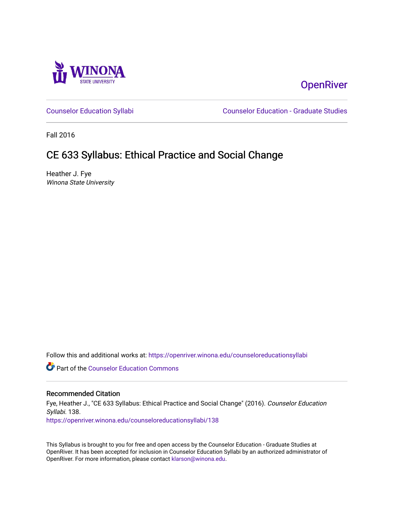

# **OpenRiver**

[Counselor Education Syllabi](https://openriver.winona.edu/counseloreducationsyllabi) [Counselor Education - Graduate Studies](https://openriver.winona.edu/counseloreducation) 

Fall 2016

# CE 633 Syllabus: Ethical Practice and Social Change

Heather J. Fye Winona State University

Follow this and additional works at: [https://openriver.winona.edu/counseloreducationsyllabi](https://openriver.winona.edu/counseloreducationsyllabi?utm_source=openriver.winona.edu%2Fcounseloreducationsyllabi%2F138&utm_medium=PDF&utm_campaign=PDFCoverPages)

Part of the [Counselor Education Commons](http://network.bepress.com/hgg/discipline/1278?utm_source=openriver.winona.edu%2Fcounseloreducationsyllabi%2F138&utm_medium=PDF&utm_campaign=PDFCoverPages) 

#### Recommended Citation

Fye, Heather J., "CE 633 Syllabus: Ethical Practice and Social Change" (2016). Counselor Education Syllabi. 138. [https://openriver.winona.edu/counseloreducationsyllabi/138](https://openriver.winona.edu/counseloreducationsyllabi/138?utm_source=openriver.winona.edu%2Fcounseloreducationsyllabi%2F138&utm_medium=PDF&utm_campaign=PDFCoverPages)

This Syllabus is brought to you for free and open access by the Counselor Education - Graduate Studies at OpenRiver. It has been accepted for inclusion in Counselor Education Syllabi by an authorized administrator of

OpenRiver. For more information, please contact [klarson@winona.edu](mailto:klarson@winona.edu).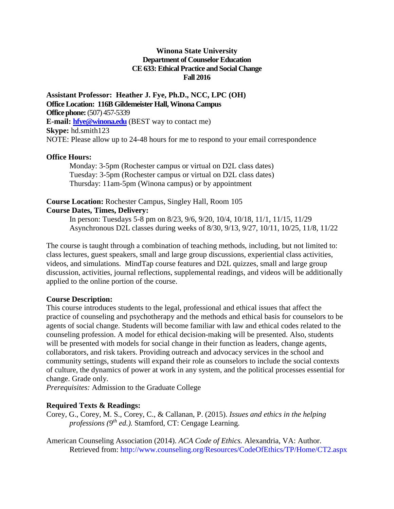### **Winona State University Department of Counselor Education CE 633: Ethical Practice and Social Change Fall 2016**

**Assistant Professor: Heather J. Fye, Ph.D., NCC, LPC (OH) Office Location: 116B Gildemeister Hall, Winona Campus Office phone:**(507) 457-5339 **E-mail: [hfye@winona.edu](mailto:hfye@winona.edu)** (BEST way to contact me) **Skype:** hd.smith123 NOTE: Please allow up to 24-48 hours for me to respond to your email correspondence

### **Office Hours:**

Monday: 3-5pm (Rochester campus or virtual on D2L class dates) Tuesday: 3-5pm (Rochester campus or virtual on D2L class dates) Thursday: 11am-5pm (Winona campus) or by appointment

#### **Course Location:** Rochester Campus, Singley Hall, Room 105 **Course Dates, Times, Delivery:**

In person: Tuesdays 5-8 pm on 8/23, 9/6, 9/20, 10/4, 10/18, 11/1, 11/15, 11/29 Asynchronous D2L classes during weeks of 8/30, 9/13, 9/27, 10/11, 10/25, 11/8, 11/22

The course is taught through a combination of teaching methods, including, but not limited to: class lectures, guest speakers, small and large group discussions, experiential class activities, videos, and simulations. MindTap course features and D2L quizzes, small and large group discussion, activities, journal reflections, supplemental readings, and videos will be additionally applied to the online portion of the course.

#### **Course Description:**

This course introduces students to the legal, professional and ethical issues that affect the practice of counseling and psychotherapy and the methods and ethical basis for counselors to be agents of social change. Students will become familiar with law and ethical codes related to the counseling profession. A model for ethical decision-making will be presented. Also, students will be presented with models for social change in their function as leaders, change agents, collaborators, and risk takers. Providing outreach and advocacy services in the school and community settings, students will expand their role as counselors to include the social contexts of culture, the dynamics of power at work in any system, and the political processes essential for change. Grade only.

*Prerequisites:* Admission to the Graduate College

#### **Required Texts & Readings:**

Corey, G., Corey, M. S., Corey, C., & Callanan, P. (2015). *Issues and ethics in the helping professions (9th ed.).* Stamford, CT: Cengage Learning.

American Counseling Association (2014). *ACA Code of Ethics.* Alexandria, VA: Author. Retrieved from: <http://www.counseling.org/Resources/CodeOfEthics/TP/Home/CT2.aspx>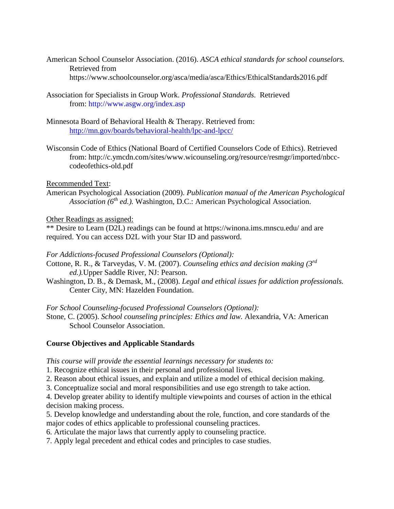American School Counselor Association. (2016). *ASCA ethical standards for school counselors.*  Retrieved from https://www.schoolcounselor.org/asca/media/asca/Ethics/EthicalStandards2016.pdf

- Association for Specialists in Group Work. *Professional Standards*. Retrieved from:<http://www.asgw.org/index.asp>
- Minnesota Board of Behavioral Health & Therapy. Retrieved from: <http://mn.gov/boards/behavioral-health/lpc-and-lpcc/>
- Wisconsin Code of Ethics (National Board of Certified Counselors Code of Ethics). Retrieved from: http://c.ymcdn.com/sites/www.wicounseling.org/resource/resmgr/imported/nbcccodeofethics-old.pdf

### Recommended Text:

American Psychological Association (2009). *Publication manual of the American Psychological Association (6th ed.).* Washington, D.C.: American Psychological Association.

### Other Readings as assigned:

\*\* Desire to Learn (D2L) readings can be found at https://winona.ims.mnscu.edu/ and are required. You can access D2L with your Star ID and password.

### *For Addictions-focused Professional Counselors (Optional):*

- Cottone, R. R., & Tarveydas, V. M. (2007). *Counseling ethics and decision making (3rd ed.).*Upper Saddle River, NJ: Pearson.
- Washington, D. B., & Demask, M., (2008). *Legal and ethical issues for addiction professionals.* Center City, MN: Hazelden Foundation.

*For School Counseling-focused Professional Counselors (Optional):*

Stone, C. (2005). *School counseling principles: Ethics and law.* Alexandria, VA: American School Counselor Association.

# **Course Objectives and Applicable Standards**

#### *This course will provide the essential learnings necessary for students to:*

- 1. Recognize ethical issues in their personal and professional lives.
- 2. Reason about ethical issues, and explain and utilize a model of ethical decision making.
- 3. Conceptualize social and moral responsibilities and use ego strength to take action.
- 4. Develop greater ability to identify multiple viewpoints and courses of action in the ethical decision making process.
- 5. Develop knowledge and understanding about the role, function, and core standards of the major codes of ethics applicable to professional counseling practices.
- 6. Articulate the major laws that currently apply to counseling practice.
- 7. Apply legal precedent and ethical codes and principles to case studies.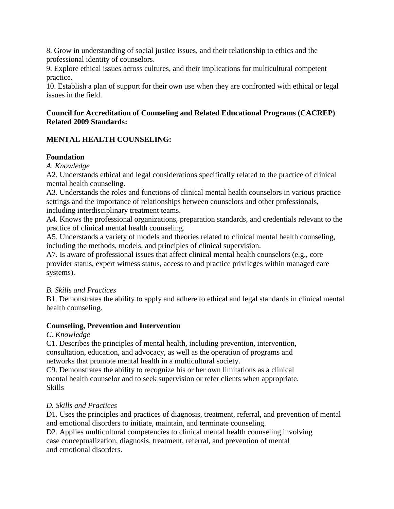8. Grow in understanding of social justice issues, and their relationship to ethics and the professional identity of counselors.

9. Explore ethical issues across cultures, and their implications for multicultural competent practice.

10. Establish a plan of support for their own use when they are confronted with ethical or legal issues in the field.

# **Council for Accreditation of Counseling and Related Educational Programs (CACREP) Related 2009 Standards:**

# **MENTAL HEALTH COUNSELING:**

# **Foundation**

*A. Knowledge*

A2. Understands ethical and legal considerations specifically related to the practice of clinical mental health counseling.

A3. Understands the roles and functions of clinical mental health counselors in various practice settings and the importance of relationships between counselors and other professionals, including interdisciplinary treatment teams.

A4. Knows the professional organizations, preparation standards, and credentials relevant to the practice of clinical mental health counseling.

A5. Understands a variety of models and theories related to clinical mental health counseling, including the methods, models, and principles of clinical supervision.

A7. Is aware of professional issues that affect clinical mental health counselors (e.g., core provider status, expert witness status, access to and practice privileges within managed care systems).

# *B. Skills and Practices*

B1. Demonstrates the ability to apply and adhere to ethical and legal standards in clinical mental health counseling.

# **Counseling, Prevention and Intervention**

# *C. Knowledge*

C1. Describes the principles of mental health, including prevention, intervention, consultation, education, and advocacy, as well as the operation of programs and networks that promote mental health in a multicultural society.

C9. Demonstrates the ability to recognize his or her own limitations as a clinical mental health counselor and to seek supervision or refer clients when appropriate. Skills

# *D. Skills and Practices*

D1. Uses the principles and practices of diagnosis, treatment, referral, and prevention of mental and emotional disorders to initiate, maintain, and terminate counseling.

D2. Applies multicultural competencies to clinical mental health counseling involving case conceptualization, diagnosis, treatment, referral, and prevention of mental and emotional disorders.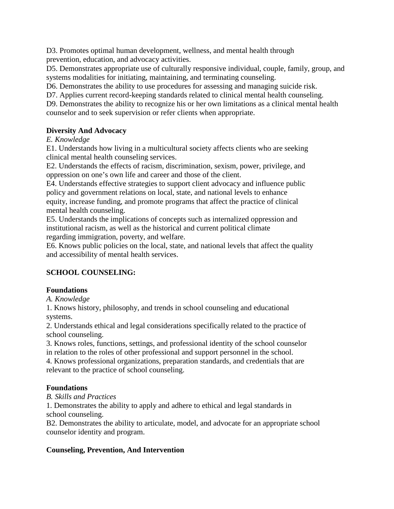D3. Promotes optimal human development, wellness, and mental health through prevention, education, and advocacy activities.

D5. Demonstrates appropriate use of culturally responsive individual, couple, family, group, and systems modalities for initiating, maintaining, and terminating counseling.

D6. Demonstrates the ability to use procedures for assessing and managing suicide risk.

D7. Applies current record-keeping standards related to clinical mental health counseling.

D9. Demonstrates the ability to recognize his or her own limitations as a clinical mental health counselor and to seek supervision or refer clients when appropriate.

# **Diversity And Advocacy**

*E. Knowledge* 

E1. Understands how living in a multicultural society affects clients who are seeking clinical mental health counseling services.

E2. Understands the effects of racism, discrimination, sexism, power, privilege, and oppression on one's own life and career and those of the client.

E4. Understands effective strategies to support client advocacy and influence public policy and government relations on local, state, and national levels to enhance equity, increase funding, and promote programs that affect the practice of clinical mental health counseling.

E5. Understands the implications of concepts such as internalized oppression and institutional racism, as well as the historical and current political climate regarding immigration, poverty, and welfare.

E6. Knows public policies on the local, state, and national levels that affect the quality and accessibility of mental health services.

# **SCHOOL COUNSELING:**

# **Foundations**

*A. Knowledge* 

1. Knows history, philosophy, and trends in school counseling and educational systems.

2. Understands ethical and legal considerations specifically related to the practice of school counseling.

3. Knows roles, functions, settings, and professional identity of the school counselor in relation to the roles of other professional and support personnel in the school.

4. Knows professional organizations, preparation standards, and credentials that are relevant to the practice of school counseling.

# **Foundations**

# *B. Skills and Practices*

1. Demonstrates the ability to apply and adhere to ethical and legal standards in school counseling.

B2. Demonstrates the ability to articulate, model, and advocate for an appropriate school counselor identity and program.

# **Counseling, Prevention, And Intervention**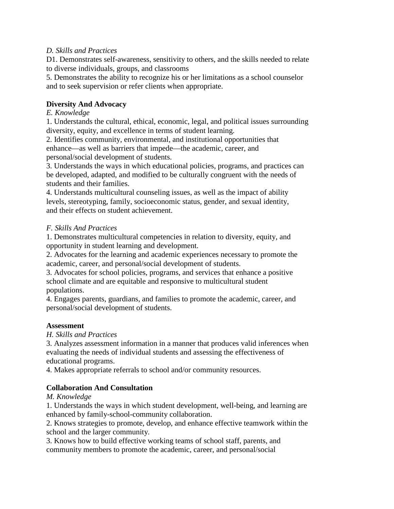### *D. Skills and Practices*

D1. Demonstrates self-awareness, sensitivity to others, and the skills needed to relate to diverse individuals, groups, and classrooms

5. Demonstrates the ability to recognize his or her limitations as a school counselor and to seek supervision or refer clients when appropriate.

### **Diversity And Advocacy**

#### *E. Knowledge*

1. Understands the cultural, ethical, economic, legal, and political issues surrounding diversity, equity, and excellence in terms of student learning.

2. Identifies community, environmental, and institutional opportunities that enhance—as well as barriers that impede—the academic, career, and personal/social development of students.

3. Understands the ways in which educational policies, programs, and practices can be developed, adapted, and modified to be culturally congruent with the needs of students and their families.

4. Understands multicultural counseling issues, as well as the impact of ability levels, stereotyping, family, socioeconomic status, gender, and sexual identity, and their effects on student achievement.

### *F. Skills And Practices*

1. Demonstrates multicultural competencies in relation to diversity, equity, and opportunity in student learning and development.

2. Advocates for the learning and academic experiences necessary to promote the academic, career, and personal/social development of students.

3. Advocates for school policies, programs, and services that enhance a positive school climate and are equitable and responsive to multicultural student populations.

4. Engages parents, guardians, and families to promote the academic, career, and personal/social development of students.

#### **Assessment**

#### *H. Skills and Practices*

3. Analyzes assessment information in a manner that produces valid inferences when evaluating the needs of individual students and assessing the effectiveness of educational programs.

4. Makes appropriate referrals to school and/or community resources.

# **Collaboration And Consultation**

#### *M. Knowledge*

1. Understands the ways in which student development, well-being, and learning are enhanced by family-school-community collaboration.

2. Knows strategies to promote, develop, and enhance effective teamwork within the school and the larger community.

3. Knows how to build effective working teams of school staff, parents, and community members to promote the academic, career, and personal/social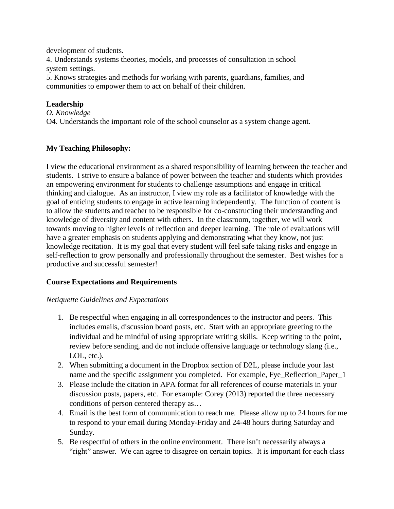development of students.

4. Understands systems theories, models, and processes of consultation in school system settings.

5. Knows strategies and methods for working with parents, guardians, families, and communities to empower them to act on behalf of their children.

# **Leadership**

*O. Knowledge*

O4. Understands the important role of the school counselor as a system change agent.

# **My Teaching Philosophy:**

I view the educational environment as a shared responsibility of learning between the teacher and students. I strive to ensure a balance of power between the teacher and students which provides an empowering environment for students to challenge assumptions and engage in critical thinking and dialogue. As an instructor, I view my role as a facilitator of knowledge with the goal of enticing students to engage in active learning independently. The function of content is to allow the students and teacher to be responsible for co-constructing their understanding and knowledge of diversity and content with others. In the classroom, together, we will work towards moving to higher levels of reflection and deeper learning. The role of evaluations will have a greater emphasis on students applying and demonstrating what they know, not just knowledge recitation. It is my goal that every student will feel safe taking risks and engage in self-reflection to grow personally and professionally throughout the semester. Best wishes for a productive and successful semester!

# **Course Expectations and Requirements**

# *Netiquette Guidelines and Expectations*

- 1. Be respectful when engaging in all correspondences to the instructor and peers. This includes emails, discussion board posts, etc. Start with an appropriate greeting to the individual and be mindful of using appropriate writing skills. Keep writing to the point, review before sending, and do not include offensive language or technology slang (i.e., LOL, etc.).
- 2. When submitting a document in the Dropbox section of D2L, please include your last name and the specific assignment you completed. For example, Fye\_Reflection\_Paper\_1
- 3. Please include the citation in APA format for all references of course materials in your discussion posts, papers, etc. For example: Corey (2013) reported the three necessary conditions of person centered therapy as…
- 4. Email is the best form of communication to reach me. Please allow up to 24 hours for me to respond to your email during Monday-Friday and 24-48 hours during Saturday and Sunday.
- 5. Be respectful of others in the online environment. There isn't necessarily always a "right" answer. We can agree to disagree on certain topics. It is important for each class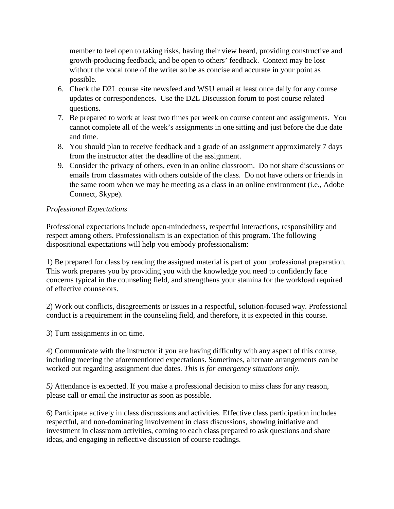member to feel open to taking risks, having their view heard, providing constructive and growth-producing feedback, and be open to others' feedback. Context may be lost without the vocal tone of the writer so be as concise and accurate in your point as possible.

- 6. Check the D2L course site newsfeed and WSU email at least once daily for any course updates or correspondences. Use the D2L Discussion forum to post course related questions.
- 7. Be prepared to work at least two times per week on course content and assignments. You cannot complete all of the week's assignments in one sitting and just before the due date and time.
- 8. You should plan to receive feedback and a grade of an assignment approximately 7 days from the instructor after the deadline of the assignment.
- 9. Consider the privacy of others, even in an online classroom. Do not share discussions or emails from classmates with others outside of the class. Do not have others or friends in the same room when we may be meeting as a class in an online environment (i.e., Adobe Connect, Skype).

# *Professional Expectations*

Professional expectations include open-mindedness, respectful interactions, responsibility and respect among others. Professionalism is an expectation of this program. The following dispositional expectations will help you embody professionalism:

1) Be prepared for class by reading the assigned material is part of your professional preparation. This work prepares you by providing you with the knowledge you need to confidently face concerns typical in the counseling field, and strengthens your stamina for the workload required of effective counselors.

2) Work out conflicts, disagreements or issues in a respectful, solution-focused way. Professional conduct is a requirement in the counseling field, and therefore, it is expected in this course.

3) Turn assignments in on time.

4) Communicate with the instructor if you are having difficulty with any aspect of this course, including meeting the aforementioned expectations. Sometimes, alternate arrangements can be worked out regarding assignment due dates. *This is for emergency situations only.* 

*5)* Attendance is expected. If you make a professional decision to miss class for any reason, please call or email the instructor as soon as possible.

6) Participate actively in class discussions and activities. Effective class participation includes respectful, and non-dominating involvement in class discussions, showing initiative and investment in classroom activities, coming to each class prepared to ask questions and share ideas, and engaging in reflective discussion of course readings.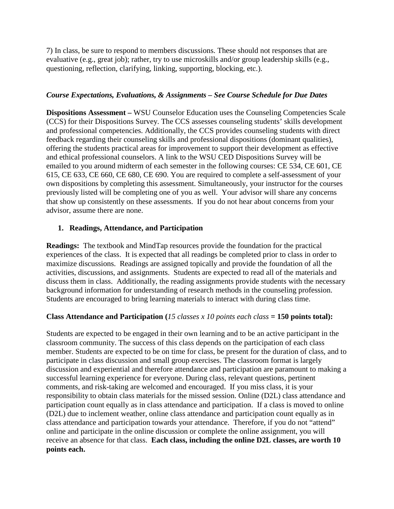7) In class, be sure to respond to members discussions. These should not responses that are evaluative (e.g., great job); rather, try to use microskills and/or group leadership skills (e.g., questioning, reflection, clarifying, linking, supporting, blocking, etc.).

# *Course Expectations, Evaluations, & Assignments – See Course Schedule for Due Dates*

**Dispositions Assessment –** WSU Counselor Education uses the Counseling Competencies Scale (CCS) for their Dispositions Survey. The CCS assesses counseling students' skills development and professional competencies. Additionally, the CCS provides counseling students with direct feedback regarding their counseling skills and professional dispositions (dominant qualities), offering the students practical areas for improvement to support their development as effective and ethical professional counselors. A link to the WSU CED Dispositions Survey will be emailed to you around midterm of each semester in the following courses: CE 534, CE 601, CE 615, CE 633, CE 660, CE 680, CE 690. You are required to complete a self-assessment of your own dispositions by completing this assessment. Simultaneously, your instructor for the courses previously listed will be completing one of you as well. Your advisor will share any concerns that show up consistently on these assessments. If you do not hear about concerns from your advisor, assume there are none.

# **1. Readings, Attendance, and Participation**

**Readings:** The textbook and MindTap resources provide the foundation for the practical experiences of the class. It is expected that all readings be completed prior to class in order to maximize discussions. Readings are assigned topically and provide the foundation of all the activities, discussions, and assignments. Students are expected to read all of the materials and discuss them in class. Additionally, the reading assignments provide students with the necessary background information for understanding of research methods in the counseling profession. Students are encouraged to bring learning materials to interact with during class time.

# **Class Attendance and Participation (***15 classes x 10 points each class* **= 150 points total):**

Students are expected to be engaged in their own learning and to be an active participant in the classroom community. The success of this class depends on the participation of each class member. Students are expected to be on time for class, be present for the duration of class, and to participate in class discussion and small group exercises. The classroom format is largely discussion and experiential and therefore attendance and participation are paramount to making a successful learning experience for everyone. During class, relevant questions, pertinent comments, and risk-taking are welcomed and encouraged. If you miss class, it is your responsibility to obtain class materials for the missed session. Online (D2L) class attendance and participation count equally as in class attendance and participation. If a class is moved to online (D2L) due to inclement weather, online class attendance and participation count equally as in class attendance and participation towards your attendance. Therefore, if you do not "attend" online and participate in the online discussion or complete the online assignment, you will receive an absence for that class. **Each class, including the online D2L classes, are worth 10 points each.**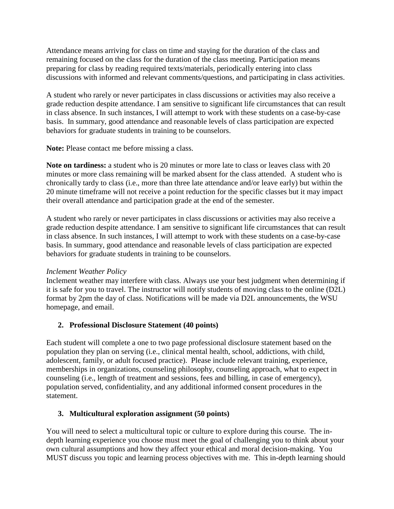Attendance means arriving for class on time and staying for the duration of the class and remaining focused on the class for the duration of the class meeting. Participation means preparing for class by reading required texts/materials, periodically entering into class discussions with informed and relevant comments/questions, and participating in class activities.

A student who rarely or never participates in class discussions or activities may also receive a grade reduction despite attendance. I am sensitive to significant life circumstances that can result in class absence. In such instances, I will attempt to work with these students on a case-by-case basis. In summary, good attendance and reasonable levels of class participation are expected behaviors for graduate students in training to be counselors.

**Note:** Please contact me before missing a class.

**Note on tardiness:** a student who is 20 minutes or more late to class or leaves class with 20 minutes or more class remaining will be marked absent for the class attended. A student who is chronically tardy to class (i.e., more than three late attendance and/or leave early) but within the 20 minute timeframe will not receive a point reduction for the specific classes but it may impact their overall attendance and participation grade at the end of the semester.

A student who rarely or never participates in class discussions or activities may also receive a grade reduction despite attendance. I am sensitive to significant life circumstances that can result in class absence. In such instances, I will attempt to work with these students on a case-by-case basis. In summary, good attendance and reasonable levels of class participation are expected behaviors for graduate students in training to be counselors.

# *Inclement Weather Policy*

Inclement weather may interfere with class. Always use your best judgment when determining if it is safe for you to travel. The instructor will notify students of moving class to the online (D2L) format by 2pm the day of class. Notifications will be made via D2L announcements, the WSU homepage, and email.

# **2. Professional Disclosure Statement (40 points)**

Each student will complete a one to two page professional disclosure statement based on the population they plan on serving (i.e., clinical mental health, school, addictions, with child, adolescent, family, or adult focused practice). Please include relevant training, experience, memberships in organizations, counseling philosophy, counseling approach, what to expect in counseling (i.e., length of treatment and sessions, fees and billing, in case of emergency), population served, confidentiality, and any additional informed consent procedures in the statement.

# **3. Multicultural exploration assignment (50 points)**

You will need to select a multicultural topic or culture to explore during this course. The indepth learning experience you choose must meet the goal of challenging you to think about your own cultural assumptions and how they affect your ethical and moral decision-making. You MUST discuss you topic and learning process objectives with me. This in-depth learning should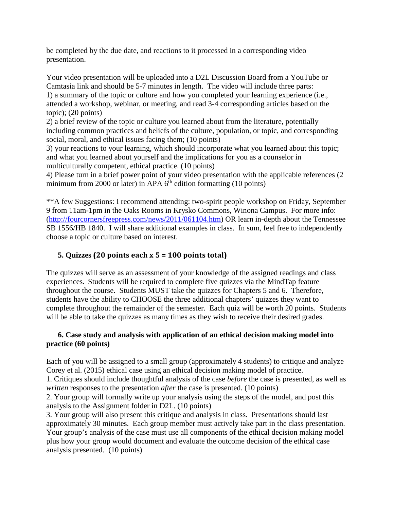be completed by the due date, and reactions to it processed in a corresponding video presentation.

Your video presentation will be uploaded into a D2L Discussion Board from a YouTube or Camtasia link and should be 5-7 minutes in length. The video will include three parts: 1) a summary of the topic or culture and how you completed your learning experience (i.e., attended a workshop, webinar, or meeting, and read 3-4 corresponding articles based on the topic); (20 points)

2) a brief review of the topic or culture you learned about from the literature, potentially including common practices and beliefs of the culture, population, or topic, and corresponding social, moral, and ethical issues facing them; (10 points)

3) your reactions to your learning, which should incorporate what you learned about this topic; and what you learned about yourself and the implications for you as a counselor in multiculturally competent, ethical practice. (10 points)

4) Please turn in a brief power point of your video presentation with the applicable references (2 minimum from 2000 or later) in APA  $6<sup>th</sup>$  edition formatting (10 points)

\*\*A few Suggestions: I recommend attending: two-spirit people workshop on Friday, September 9 from 11am-1pm in the Oaks Rooms in Krysko Commons, Winona Campus. For more info: [\(http://fourcornersfreepress.com/news/2011/061104.htm\)](http://fourcornersfreepress.com/news/2011/061104.htm) OR learn in-depth about the Tennessee SB 1556/HB 1840. I will share additional examples in class. In sum, feel free to independently choose a topic or culture based on interest.

# **5. Quizzes (20 points each x 5 = 100 points total)**

The quizzes will serve as an assessment of your knowledge of the assigned readings and class experiences. Students will be required to complete five quizzes via the MindTap feature throughout the course. Students MUST take the quizzes for Chapters 5 and 6. Therefore, students have the ability to CHOOSE the three additional chapters' quizzes they want to complete throughout the remainder of the semester. Each quiz will be worth 20 points. Students will be able to take the quizzes as many times as they wish to receive their desired grades.

# **6. Case study and analysis with application of an ethical decision making model into practice (60 points)**

Each of you will be assigned to a small group (approximately 4 students) to critique and analyze Corey et al. (2015) ethical case using an ethical decision making model of practice.

1. Critiques should include thoughtful analysis of the case *before* the case is presented, as well as *written* responses to the presentation *after* the case is presented. (10 points)

2. Your group will formally write up your analysis using the steps of the model, and post this analysis to the Assignment folder in D2L. (10 points)

3. Your group will also present this critique and analysis in class. Presentations should last approximately 30 minutes. Each group member must actively take part in the class presentation. Your group's analysis of the case must use all components of the ethical decision making model plus how your group would document and evaluate the outcome decision of the ethical case analysis presented. (10 points)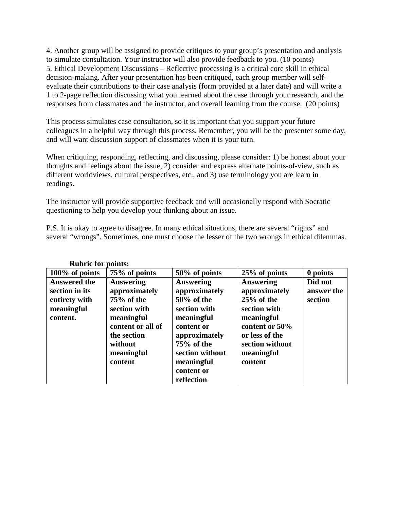4. Another group will be assigned to provide critiques to your group's presentation and analysis to simulate consultation. Your instructor will also provide feedback to you. (10 points) 5. Ethical Development Discussions – Reflective processing is a critical core skill in ethical decision-making. After your presentation has been critiqued, each group member will selfevaluate their contributions to their case analysis (form provided at a later date) and will write a 1 to 2-page reflection discussing what you learned about the case through your research, and the responses from classmates and the instructor, and overall learning from the course. (20 points)

This process simulates case consultation, so it is important that you support your future colleagues in a helpful way through this process. Remember, you will be the presenter some day, and will want discussion support of classmates when it is your turn.

When critiquing, responding, reflecting, and discussing, please consider: 1) be honest about your thoughts and feelings about the issue, 2) consider and express alternate points-of-view, such as different worldviews, cultural perspectives, etc., and 3) use terminology you are learn in readings.

The instructor will provide supportive feedback and will occasionally respond with Socratic questioning to help you develop your thinking about an issue.

P.S. It is okay to agree to disagree. In many ethical situations, there are several "rights" and several "wrongs". Sometimes, one must choose the lesser of the two wrongs in ethical dilemmas.

| AWWWIIY AVA         |                   |                  |                  |            |
|---------------------|-------------------|------------------|------------------|------------|
| $100\%$ of points   | 75% of points     | 50% of points    | $25%$ of points  | 0 points   |
| <b>Answered the</b> | Answering         | <b>Answering</b> | <b>Answering</b> | Did not    |
| section in its      | approximately     | approximately    | approximately    | answer the |
| entirety with       | 75% of the        | 50% of the       | $25%$ of the     | section    |
| meaningful          | section with      | section with     | section with     |            |
| content.            | meaningful        | meaningful       | meaningful       |            |
|                     | content or all of | content or       | content or 50%   |            |
|                     | the section       | approximately    | or less of the   |            |
|                     | without           | 75% of the       | section without  |            |
|                     | meaningful        | section without  | meaningful       |            |
|                     | content           | meaningful       | content          |            |
|                     |                   | content or       |                  |            |
|                     |                   | reflection       |                  |            |

**Rubric for points:**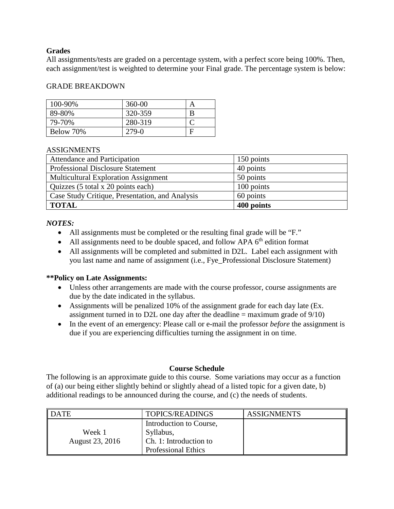### **Grades**

All assignments/tests are graded on a percentage system, with a perfect score being 100%. Then, each assignment/test is weighted to determine your Final grade. The percentage system is below:

#### GRADE BREAKDOWN

| 100-90%   | 360-00  |  |
|-----------|---------|--|
| 89-80%    | 320-359 |  |
| 79-70%    | 280-319 |  |
| Below 70% | 279-0   |  |

#### ASSIGNMENTS

| <b>Attendance and Participation</b>             | 150 points |
|-------------------------------------------------|------------|
| Professional Disclosure Statement               | 40 points  |
| <b>Multicultural Exploration Assignment</b>     | 50 points  |
| Quizzes (5 total x 20 points each)              | 100 points |
| Case Study Critique, Presentation, and Analysis | 60 points  |
| <b>TOTAL</b>                                    | 400 points |

### *NOTES:*

- All assignments must be completed or the resulting final grade will be "F."
- All assignments need to be double spaced, and follow APA  $6<sup>th</sup>$  edition format
- All assignments will be completed and submitted in D2L. Label each assignment with you last name and name of assignment (i.e., Fye\_Professional Disclosure Statement)

#### **\*\*Policy on Late Assignments:**

- Unless other arrangements are made with the course professor, course assignments are due by the date indicated in the syllabus.
- Assignments will be penalized 10% of the assignment grade for each day late (Ex. assignment turned in to D2L one day after the deadline  $=$  maximum grade of  $9/10$ )
- In the event of an emergency: Please call or e-mail the professor *before* the assignment is due if you are experiencing difficulties turning the assignment in on time.

#### **Course Schedule**

The following is an approximate guide to this course. Some variations may occur as a function of (a) our being either slightly behind or slightly ahead of a listed topic for a given date, b) additional readings to be announced during the course, and (c) the needs of students.

| <b>I</b> DATE   | <b>TOPICS/READINGS</b>     | <b>ASSIGNMENTS</b> |
|-----------------|----------------------------|--------------------|
|                 | Introduction to Course,    |                    |
| Week 1          | Syllabus,                  |                    |
| August 23, 2016 | Ch. 1: Introduction to     |                    |
|                 | <b>Professional Ethics</b> |                    |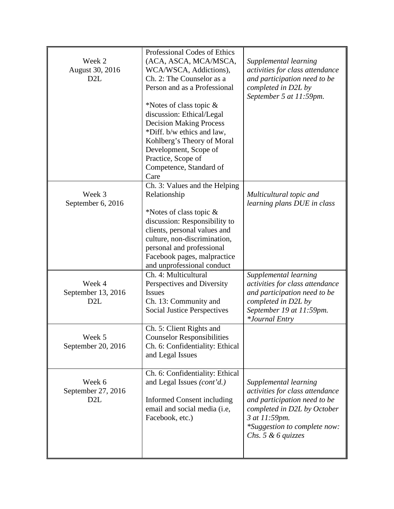| Week 2<br>August 30, 2016<br>D2L                 | Professional Codes of Ethics<br>(ACA, ASCA, MCA/MSCA,<br>WCA/WSCA, Addictions),<br>Ch. 2: The Counselor as a<br>Person and as a Professional<br>*Notes of class topic &<br>discussion: Ethical/Legal<br><b>Decision Making Process</b><br>*Diff. b/w ethics and law,<br>Kohlberg's Theory of Moral<br>Development, Scope of<br>Practice, Scope of<br>Competence, Standard of<br>Care | Supplemental learning<br>activities for class attendance<br>and participation need to be<br>completed in D2L by<br>September 5 at 11:59pm.                                                     |
|--------------------------------------------------|--------------------------------------------------------------------------------------------------------------------------------------------------------------------------------------------------------------------------------------------------------------------------------------------------------------------------------------------------------------------------------------|------------------------------------------------------------------------------------------------------------------------------------------------------------------------------------------------|
| Week 3<br>September 6, 2016                      | Ch. 3: Values and the Helping<br>Relationship<br>*Notes of class topic &<br>discussion: Responsibility to<br>clients, personal values and<br>culture, non-discrimination,<br>personal and professional<br>Facebook pages, malpractice<br>and unprofessional conduct                                                                                                                  | Multicultural topic and<br>learning plans DUE in class                                                                                                                                         |
| Week 4<br>September 13, 2016<br>D2L              | Ch. 4: Multicultural<br>Perspectives and Diversity<br><b>Issues</b><br>Ch. 13: Community and<br><b>Social Justice Perspectives</b>                                                                                                                                                                                                                                                   | Supplemental learning<br>activities for class attendance<br>and participation need to be<br>completed in D2L by<br>September 19 at 11:59pm.<br>*Journal Entry                                  |
| Week 5<br>September 20, 2016                     | Ch. 5: Client Rights and<br><b>Counselor Responsibilities</b><br>Ch. 6: Confidentiality: Ethical<br>and Legal Issues                                                                                                                                                                                                                                                                 |                                                                                                                                                                                                |
| Week 6<br>September 27, 2016<br>D <sub>2</sub> L | Ch. 6: Confidentiality: Ethical<br>and Legal Issues (cont'd.)<br><b>Informed Consent including</b><br>email and social media (i.e,<br>Facebook, etc.)                                                                                                                                                                                                                                | Supplemental learning<br>activities for class attendance<br>and participation need to be<br>completed in D2L by October<br>3 at 11:59pm.<br>*Suggestion to complete now:<br>Chs. 5 & 6 quizzes |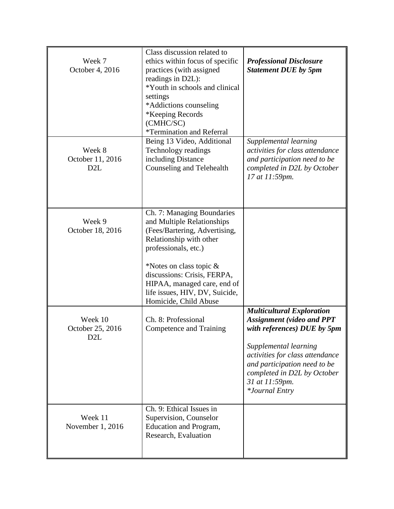| Week 7<br>October 4, 2016                       | Class discussion related to<br>ethics within focus of specific<br>practices (with assigned<br>readings in D2L):<br>*Youth in schools and clinical<br>settings<br>*Addictions counseling<br>*Keeping Records<br>(CMHC/SC)<br><i><b>*Termination and Referral</b></i>                              | <b>Professional Disclosure</b><br><b>Statement DUE by 5pm</b>                                                                                                                                                                                                      |
|-------------------------------------------------|--------------------------------------------------------------------------------------------------------------------------------------------------------------------------------------------------------------------------------------------------------------------------------------------------|--------------------------------------------------------------------------------------------------------------------------------------------------------------------------------------------------------------------------------------------------------------------|
| Week 8<br>October 11, 2016<br>D <sub>2</sub> L  | Being 13 Video, Additional<br>Technology readings<br>including Distance<br>Counseling and Telehealth                                                                                                                                                                                             | Supplemental learning<br>activities for class attendance<br>and participation need to be<br>completed in D2L by October<br>17 at 11:59pm.                                                                                                                          |
| Week 9<br>October 18, 2016                      | Ch. 7: Managing Boundaries<br>and Multiple Relationships<br>(Fees/Bartering, Advertising,<br>Relationship with other<br>professionals, etc.)<br>*Notes on class topic &<br>discussions: Crisis, FERPA,<br>HIPAA, managed care, end of<br>life issues, HIV, DV, Suicide,<br>Homicide, Child Abuse |                                                                                                                                                                                                                                                                    |
| Week 10<br>October 25, 2016<br>D <sub>2</sub> L | Ch. 8: Professional<br>Competence and Training                                                                                                                                                                                                                                                   | <b>Multicultural Exploration</b><br><b>Assignment (video and PPT</b><br>with references) DUE by 5pm<br>Supplemental learning<br>activities for class attendance<br>and participation need to be<br>completed in D2L by October<br>31 at 11:59pm.<br>*Journal Entry |
| Week 11<br>November 1, 2016                     | Ch. 9: Ethical Issues in<br>Supervision, Counselor<br>Education and Program,<br>Research, Evaluation                                                                                                                                                                                             |                                                                                                                                                                                                                                                                    |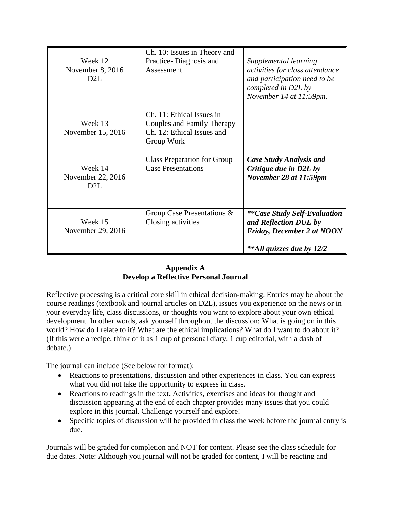| Week 12<br>November 8, 2016<br>D <sub>2</sub> L | Ch. 10: Issues in Theory and<br>Practice-Diagnosis and<br>Assessment                                | Supplemental learning<br>activities for class attendance<br>and participation need to be<br>completed in D2L by<br>November 14 at 11:59pm. |
|-------------------------------------------------|-----------------------------------------------------------------------------------------------------|--------------------------------------------------------------------------------------------------------------------------------------------|
| Week 13<br>November 15, 2016                    | Ch. 11: Ethical Issues in<br>Couples and Family Therapy<br>Ch. 12: Ethical Issues and<br>Group Work |                                                                                                                                            |
| Week 14<br>November 22, 2016<br>D2L             | <b>Class Preparation for Group</b><br><b>Case Presentations</b>                                     | <b>Case Study Analysis and</b><br>Critique due in D2L by<br>November 28 at 11:59pm                                                         |
| Week 15<br>November 29, 2016                    | Group Case Presentations &<br>Closing activities                                                    | <i>**Case Study Self-Evaluation</i><br>and Reflection DUE by<br><b>Friday, December 2 at NOON</b><br>**All quizzes due by 12/2             |

### **Appendix A Develop a Reflective Personal Journal**

Reflective processing is a critical core skill in ethical decision-making. Entries may be about the course readings (textbook and journal articles on D2L), issues you experience on the news or in your everyday life, class discussions, or thoughts you want to explore about your own ethical development. In other words, ask yourself throughout the discussion: What is going on in this world? How do I relate to it? What are the ethical implications? What do I want to do about it? (If this were a recipe, think of it as 1 cup of personal diary, 1 cup editorial, with a dash of debate.)

The journal can include (See below for format):

- Reactions to presentations, discussion and other experiences in class. You can express what you did not take the opportunity to express in class.
- Reactions to readings in the text. Activities, exercises and ideas for thought and discussion appearing at the end of each chapter provides many issues that you could explore in this journal. Challenge yourself and explore!
- Specific topics of discussion will be provided in class the week before the journal entry is due.

Journals will be graded for completion and NOT for content. Please see the class schedule for due dates. Note: Although you journal will not be graded for content, I will be reacting and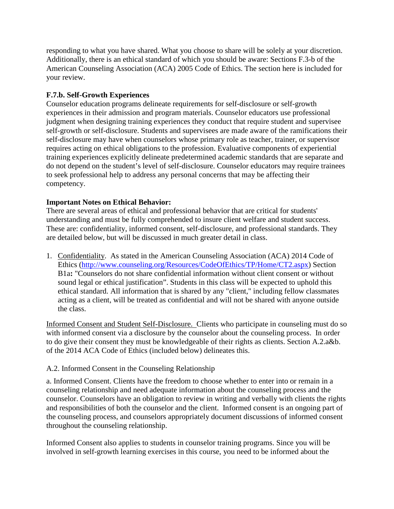responding to what you have shared. What you choose to share will be solely at your discretion. Additionally, there is an ethical standard of which you should be aware: Sections F.3-b of the American Counseling Association (ACA) 2005 Code of Ethics. The section here is included for your review.

# **F.7.b. Self-Growth Experiences**

Counselor education programs delineate requirements for self-disclosure or self-growth experiences in their admission and program materials. Counselor educators use professional judgment when designing training experiences they conduct that require student and supervisee self-growth or self-disclosure. Students and supervisees are made aware of the ramifications their self-disclosure may have when counselors whose primary role as teacher, trainer, or supervisor requires acting on ethical obligations to the profession. Evaluative components of experiential training experiences explicitly delineate predetermined academic standards that are separate and do not depend on the student's level of self-disclosure. Counselor educators may require trainees to seek professional help to address any personal concerns that may be affecting their competency.

# **Important Notes on Ethical Behavior:**

There are several areas of ethical and professional behavior that are critical for students' understanding and must be fully comprehended to insure client welfare and student success. These are: confidentiality, informed consent, self-disclosure, and professional standards. They are detailed below, but will be discussed in much greater detail in class.

1. Confidentiality. As stated in the American Counseling Association (ACA) 2014 Code of Ethics [\(http://www.counseling.org/Resources/CodeOfEthics/TP/Home/CT2.aspx\)](http://www.counseling.org/Resources/CodeOfEthics/TP/Home/CT2.aspx) Section B1a**:** "Counselors do not share confidential information without client consent or without sound legal or ethical justification". Students in this class will be expected to uphold this ethical standard. All information that is shared by any "client," including fellow classmates acting as a client, will be treated as confidential and will not be shared with anyone outside the class.

Informed Consent and Student Self-Disclosure. Clients who participate in counseling must do so with informed consent via a disclosure by the counselor about the counseling process. In order to do give their consent they must be knowledgeable of their rights as clients. Section A.2.a&b. of the 2014 ACA Code of Ethics (included below) delineates this.

# A.2. Informed Consent in the Counseling Relationship

a. Informed Consent. Clients have the freedom to choose whether to enter into or remain in a counseling relationship and need adequate information about the counseling process and the counselor. Counselors have an obligation to review in writing and verbally with clients the rights and responsibilities of both the counselor and the client. Informed consent is an ongoing part of the counseling process, and counselors appropriately document discussions of informed consent throughout the counseling relationship.

Informed Consent also applies to students in counselor training programs. Since you will be involved in self-growth learning exercises in this course, you need to be informed about the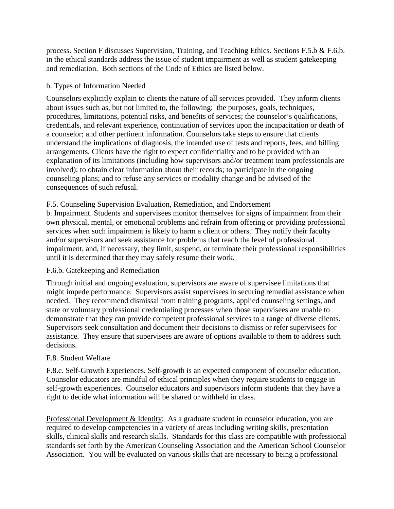process. Section F discusses Supervision, Training, and Teaching Ethics. Sections F.5.b & F.6.b. in the ethical standards address the issue of student impairment as well as student gatekeeping and remediation. Both sections of the Code of Ethics are listed below.

### b. Types of Information Needed

Counselors explicitly explain to clients the nature of all services provided. They inform clients about issues such as, but not limited to, the following: the purposes, goals, techniques, procedures, limitations, potential risks, and benefits of services; the counselor's qualifications, credentials, and relevant experience, continuation of services upon the incapacitation or death of a counselor; and other pertinent information. Counselors take steps to ensure that clients understand the implications of diagnosis, the intended use of tests and reports, fees, and billing arrangements. Clients have the right to expect confidentiality and to be provided with an explanation of its limitations (including how supervisors and/or treatment team professionals are involved); to obtain clear information about their records; to participate in the ongoing counseling plans; and to refuse any services or modality change and be advised of the consequences of such refusal.

# F.5. Counseling Supervision Evaluation, Remediation, and Endorsement

b. Impairment. Students and supervisees monitor themselves for signs of impairment from their own physical, mental, or emotional problems and refrain from offering or providing professional services when such impairment is likely to harm a client or others. They notify their faculty and/or supervisors and seek assistance for problems that reach the level of professional impairment, and, if necessary, they limit, suspend, or terminate their professional responsibilities until it is determined that they may safely resume their work.

# F.6.b. Gatekeeping and Remediation

Through initial and ongoing evaluation, supervisors are aware of supervisee limitations that might impede performance. Supervisors assist supervisees in securing remedial assistance when needed. They recommend dismissal from training programs, applied counseling settings, and state or voluntary professional credentialing processes when those supervisees are unable to demonstrate that they can provide competent professional services to a range of diverse clients. Supervisors seek consultation and document their decisions to dismiss or refer supervisees for assistance. They ensure that supervisees are aware of options available to them to address such decisions.

#### F.8. Student Welfare

F.8.c. Self-Growth Experiences. Self-growth is an expected component of counselor education. Counselor educators are mindful of ethical principles when they require students to engage in self-growth experiences. Counselor educators and supervisors inform students that they have a right to decide what information will be shared or withheld in class.

Professional Development & Identity: As a graduate student in counselor education, you are required to develop competencies in a variety of areas including writing skills, presentation skills, clinical skills and research skills. Standards for this class are compatible with professional standards set forth by the American Counseling Association and the American School Counselor Association. You will be evaluated on various skills that are necessary to being a professional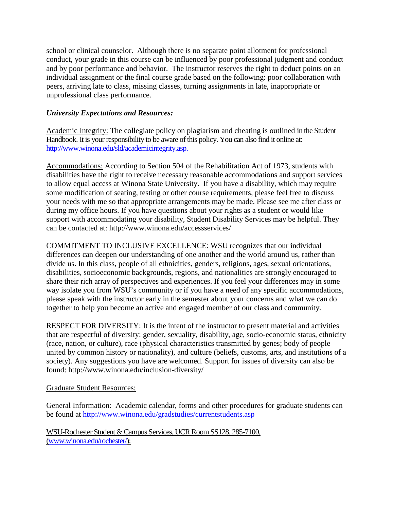school or clinical counselor. Although there is no separate point allotment for professional conduct, your grade in this course can be influenced by poor professional judgment and conduct and by poor performance and behavior. The instructor reserves the right to deduct points on an individual assignment or the final course grade based on the following: poor collaboration with peers, arriving late to class, missing classes, turning assignments in late, inappropriate or unprofessional class performance.

### *University Expectations and Resources:*

Academic Integrity: The collegiate policy on plagiarism and cheating is outlined in the Student Handbook. It is your responsibility to be aware of this policy. You can also find it online at: [http://www.winona.edu/sld/academicintegrity.asp.](http://www.winona.edu/sld/academicintegrity.asp)

Accommodations: According to Section 504 of the Rehabilitation Act of 1973, students with disabilities have the right to receive necessary reasonable accommodations and support services to allow equal access at Winona State University. If you have a disability, which may require some modification of seating, testing or other course requirements, please feel free to discuss your needs with me so that appropriate arrangements may be made. Please see me after class or during my office hours. If you have questions about your rights as a student or would like support with accommodating your disability, Student Disability Services may be helpful. They can be contacted at: http://www.winona.edu/accessservices/

COMMITMENT TO INCLUSIVE EXCELLENCE: WSU recognizes that our individual differences can deepen our understanding of one another and the world around us, rather than divide us. In this class, people of all ethnicities, genders, religions, ages, sexual orientations, disabilities, socioeconomic backgrounds, regions, and nationalities are strongly encouraged to share their rich array of perspectives and experiences. If you feel your differences may in some way isolate you from WSU's community or if you have a need of any specific accommodations, please speak with the instructor early in the semester about your concerns and what we can do together to help you become an active and engaged member of our class and community.

RESPECT FOR DIVERSITY: It is the intent of the instructor to present material and activities that are respectful of diversity: gender, sexuality, disability, age, socio-economic status, ethnicity (race, nation, or culture), race (physical characteristics transmitted by genes; body of people united by common history or nationality), and culture (beliefs, customs, arts, and institutions of a society). Any suggestions you have are welcomed. Support for issues of diversity can also be found: http://www.winona.edu/inclusion-diversity/

#### Graduate Student Resources:

General Information: Academic calendar, forms and other procedures for graduate students can be found at<http://www.winona.edu/gradstudies/currentstudents.asp>

WSU-Rochester Student & Campus Services, UCR Room SS128, 285-7100, [\(www.winona.edu/rochester/\)](http://www.winona.edu/rochester/):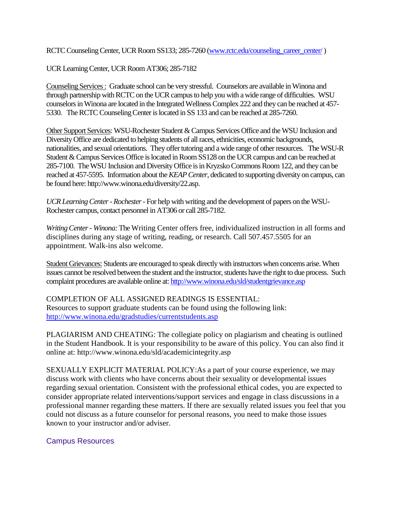RCTC Counseling Center, UCR Room SS133; 285-7260 [\(www.rctc.edu/counseling\\_career\\_center/](http://www.rctc.edu/counseling_career_center/))

UCR Learning Center, UCR Room AT306; 285-7182

Counseling Services : Graduate school can be very stressful. Counselors are available in Winona and through partnership with RCTC on the UCR campus to help you with a wide range of difficulties. WSU counselors in Winona are located in the Integrated Wellness Complex 222 and they can be reached at 457- 5330. The RCTC Counseling Center is located in SS 133 and can be reached at 285-7260.

Other Support Services: WSU-Rochester Student & Campus Services Office and the WSU Inclusion and Diversity Office are dedicated to helping students of all races, ethnicities, economic backgrounds, nationalities, and sexual orientations. They offer tutoring and a wide range of other resources. The WSU-R Student & Campus Services Office is located in Room SS128 on the UCR campus and can be reached at 285-7100. The WSU Inclusion and Diversity Office is in Kryzsko Commons Room 122, and they can be reached at 457-5595. Information about the *KEAP Center*, dedicated to supporting diversity on campus, can be found here: http://www.winona.edu/diversity/22.asp.

*UCR Learning Center - Rochester*- For help with writing and the development of papers on the WSU-Rochester campus, contact personnel in AT306 or call 285-7182.

*Writing Center - Winona:* The Writing Center offers free, individualized instruction in all forms and disciplines during any stage of writing, reading, or research. Call 507.457.5505 for an appointment. Walk-ins also welcome.

Student Grievances: Students are encouraged to speak directly with instructors when concerns arise. When issues cannot be resolved between the student and the instructor, students have the right to due process. Such complaint procedures are available online at[: http://www.winona.edu/sld/studentgrievance.asp](http://www.winona.edu/sld/studentgrievance.asp)

COMPLETION OF ALL ASSIGNED READINGS IS ESSENTIAL: Resources to support graduate students can be found using the following link: <http://www.winona.edu/gradstudies/currentstudents.asp>

PLAGIARISM AND CHEATING: The collegiate policy on plagiarism and cheating is outlined in the Student Handbook. It is your responsibility to be aware of this policy. You can also find it online at: http://www.winona.edu/sld/academicintegrity.asp

SEXUALLY EXPLICIT MATERIAL POLICY:As a part of your course experience, we may discuss work with clients who have concerns about their sexuality or developmental issues regarding sexual orientation. Consistent with the professional ethical codes, you are expected to consider appropriate related interventions/support services and engage in class discussions in a professional manner regarding these matters. If there are sexually related issues you feel that you could not discuss as a future counselor for personal reasons, you need to make those issues known to your instructor and/or adviser.

# Campus Resources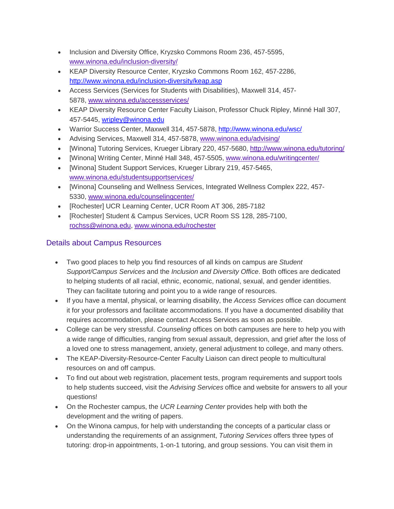- Inclusion and Diversity Office, Kryzsko Commons Room 236, 457-5595, [www.winona.edu/inclusion-diversity/](http://www.winona.edu/inclusion-diversity/)
- KEAP Diversity Resource Center, Kryzsko Commons Room 162, 457-2286, <http://www.winona.edu/inclusion-diversity/keap.asp>
- Access Services (Services for Students with Disabilities), Maxwell 314, 457- 5878, [www.winona.edu/accessservices/](http://www.winona.edu/accessservices/)
- KEAP Diversity Resource Center Faculty Liaison, Professor Chuck Ripley, Minné Hall 307, 457-5445, wripley@winona.edu
- Warrior Success Center, Maxwell 314, 457-5878,<http://www.winona.edu/wsc/>
- Advising Services, Maxwell 314, 457-5878, [www.winona.edu/advising/](http://www.winona.edu/advising/)
- [Winona] Tutoring Services, Krueger Library 220, 457-5680,<http://www.winona.edu/tutoring/>
- [Winona] Writing Center, Minné Hall 348, 457-5505, [www.winona.edu/writingcenter/](http://www.winona.edu/writingcenter/)
- [Winona] Student Support Services, Krueger Library 219, 457-5465, [www.winona.edu/studentsupportservices/](http://www.winona.edu/studentsupportservices/)
- [Winona] Counseling and Wellness Services, Integrated Wellness Complex 222, 457- 5330, [www.winona.edu/counselingcenter/](http://www.winona.edu/counselingcenter/)
- [Rochester] UCR Learning Center, UCR Room AT 306, 285-7182
- [Rochester] Student & Campus Services, UCR Room SS 128, 285-7100, [rochss@winona.edu,](mailto:rochss@winona.edu) [www.winona.edu/rochester](http://www.winona.edu/rochester)

# Details about Campus Resources

- Two good places to help you find resources of all kinds on campus are *Student Support/Campus Services* and the *Inclusion and Diversity Office*. Both offices are dedicated to helping students of all racial, ethnic, economic, national, sexual, and gender identities. They can facilitate tutoring and point you to a wide range of resources.
- If you have a mental, physical, or learning disability, the *Access Services* office can document it for your professors and facilitate accommodations. If you have a documented disability that requires accommodation, please contact Access Services as soon as possible.
- College can be very stressful. *Counseling* offices on both campuses are here to help you with a wide range of difficulties, ranging from sexual assault, depression, and grief after the loss of a loved one to stress management, anxiety, general adjustment to college, and many others.
- The KEAP-Diversity-Resource-Center Faculty Liaison can direct people to multicultural resources on and off campus.
- To find out about web registration, placement tests, program requirements and support tools to help students succeed, visit the *Advising Services* office and website for answers to all your questions!
- On the Rochester campus, the *UCR Learning Center* provides help with both the development and the writing of papers.
- On the Winona campus, for help with understanding the concepts of a particular class or understanding the requirements of an assignment, *Tutoring Services* offers three types of tutoring: drop-in appointments, 1-on-1 tutoring, and group sessions. You can visit them in